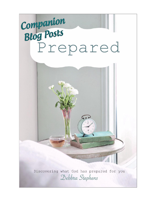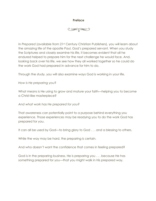## **Preface**

# $\circledast$

In *Prepared* (available from 21st Century Christian Publishers), you will learn about the amazing life of the apostle Paul, God's prepared servant. When you study the Scriptures and closely examine his life, it becomes evident that all he endured helped to prepare him for the next challenge he would face. And, looking back over his life, we see how they all worked together so he could do the work God had prepared in advance for him to do.

Through the study, you will also examine ways God is working in your life.

*How is He preparing you?*

What means is He using to grow and mature your faith—helping you to become a Christ-like masterpiece?

*And what work has He prepared for you?*

That awareness can potentially point to a purpose behind everything you experience. Those experiences may be readying you to do the work God has prepared for you.

It can all be used by God—to bring glory to God . . . and a blessing to others.

While the way may be hard, the preparing is certain.

And who doesn't want the confidence that comes in feeling prepared?

God is in the preparing business. He is preparing you . . . because He has something prepared for you—that you might walk in His prepared way.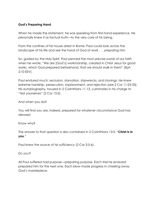# **God's Preparing Hand**

When he made the statement, he was speaking from first-hand experience. He personally knew it as factual truth—to the very core of his being.

From the confines of his house arrest in Rome, Paul could look across the landscape of his life and see the hand of God at work . . . preparing him.

So, guided by the Holy Spirit, Paul penned the most precise words of our faith when he wrote, "We are [God's] workmanship, created in Christ Jesus for good works, which God prepared beforehand, that we should walk in them" (Eph 2:10 ESV).

Paul endured much: seclusion, starvation, shipwrecks, and stonings. He knew extreme hardship, persecution, imprisonment, and rejection (see 2 Cor 11:23-33). His autobiography, housed in 2 Corinthians 11-13, culminates in his charge to "test yourselves" (2 Cor 13:5).

And when you do?

You will find you are, indeed, prepared for whatever circumstance God has allowed.

Know why?

The answer to that question is also contained in 2 Corinthians 13:5: "**Christ is in you**."

Paul knew the source of his sufficiency (2 Cor 3:5-6).

*Do you?*

All Paul suffered had purpose—preparing purpose. Each trial he endured prepared him for the next one. Each blow made progress in chiseling away God's masterpiece.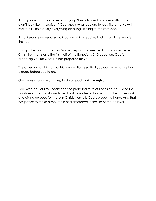A sculptor was once quoted as saying, "I just chipped away everything that didn't look like my subject." God knows what you are to look like. And He will masterfully chip away everything blocking His unique masterpiece.

It is a lifelong process of sanctification which requires trust . . . until the work is finished.

Through life's circumstances God is preparing you—creating a masterpiece in Christ. But that is only the first half of the Ephesians 2:10 equation. God is preparing you for what He has prepared *for* you.

The other half of this truth of His preparation is so that you can do what He has placed before you to do.

God does a good work in us, to do a good work *through* us.

God wanted Paul to understand the profound truth of Ephesians 2:10. And He wants every Jesus-follower to realize it as well—for it states both the divine work and divine purpose for those in Christ. It unveils God's preparing hand. And that has power to make a mountain of a difference in the life of the believer.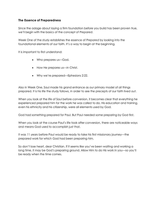## **The Essence of Preparedness**

Since the adage about laying a firm foundation before you build has been proven true, we'll begin with the basics of the concept of *Prepared*.

Week One of the study establishes the essence of *Prepared* by looking into the foundational elements of our faith. It's a way to begin at the beginning.

It is important to first understand:

- Who prepares us-God.
- How He prepares us—in Christ.
- Why we're prepared—Ephesians 2:22.

Also in Week One, Saul made his grand entrance as our primary model of all things prepared. It is his life the study follows, in order to see the precepts of our faith lived out.

When you look at the life of Saul before conversion, it becomes clear that everything he experienced prepared him for the work he was called to do. His education and training, even his ethnicity and his citizenship, were all elements used by God.

God had something prepared for Paul. But Paul needed some preparing by God first.

When you look at the course Paul's life took after conversion, there are noticeable ways and means God used to accomplish just that.

It was 11 years before Paul would be ready to take his first missionary journey—the prepared work for which God had been preparing him.

So don't lose heart, dear Christian. If it seems like you've been waiting and working a long time, it may be God's preparing ground. Allow Him to do His work in you—so you'll be ready when the time comes.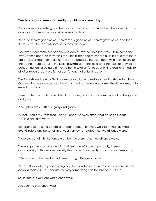## **Two bits of good news that really should make your day**

You can read something and feel pretty good afterward. And then there are things you can read that make you feel ridiculously exultant!

Because there's good news. There's really good news. There's great news. And then there's over-the-top, extraordinarily fantastic news.

However, I fear there are people who don't view the Bible that way. I think some shy away from it because they think the Bible is intended to impose guilt. It's true that there are passages that can make us feel bad—because they cut deep with conviction. But there's no doubt about it, the Bible **assumes** guilt. The Bible does not exist to provide condemnation for being a sinner; rather, a solution for us as one. It reveals a remedy for all of us rebels . . . a merciful pardon for each of us lawbreakers.

The Bible shows the way God has made available to restore a relationship with a Holy God—so that we can be used by Him. More than revealing shame, the Bible is meant to reveal salvation.

Even contending with those difficult passages, I can't imagine missing out on the grace and glory.

And Ephesians 2:1-10 is all glory and grace!

In fact, I call it my *Hallelujah Chorus*—because every time I that passage I shout "Hallelujah!" afterward.

Ephesians 2:1-10 is the before-and-after account of every Christian. And I do mean **every**! Before any personal sin of your very own, it states what we **all** once were.

There are certain things I once was, but there are things we **all** once were.

There is great encouragement in that, isn't there? More importantly, there is commonality in that—commonality that should breed unity . . . *and shared empathy!*

"Once-was" is the great equalizer—making it the great unifier.

We can't look at the person sitting next to us and say they were *once in darkness and dead in their sins.* No! Because the very same thing can be said of us. Of me.

So, let me ask you: Are *you* a once-was?

Are you the *only* once-was?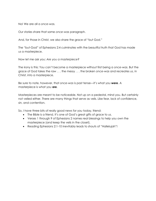No! We are all a *once-was.*

Our stories share that same *once-was* paragraph.

And, for those in Christ, we also share the grace of "but God."

The "but-God" of Ephesians 2:4 culminates with the beautiful truth that God has made us a masterpiece.

Now let me ask you: *Are you a masterpiece?*

The irony is this: You can't become a masterpiece without first being a *once-was*. But the grace of God takes the raw . . . the messy . . . the broken *once-was* and recreates us, in Christ, into a masterpiece.

Be sure to note, however, that *once-was* is past tense—it's what you **were**. A masterpiece is what you **are**.

Masterpieces are meant to be noticeable. Not up on a pedestal, mind you. But certainly not veiled either. There are many things that serve as veils. Like fear, lack of confidence, sin, and contention.

So, I have three bits of really good news for you today, friend:

- The Bible is a friend. It's one of God's great gifts of grace to us.
- Verses 1 through 9 of Ephesians 2 names real blessings to help you own the masterpiece (and keep the veils in the closet).
- Reading Ephesians 2:1-10 inevitably leads to shouts of "Hallelujah"!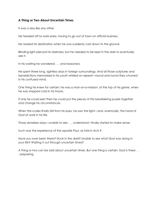## **A Thing or Two About Uncertain Times**

It was a day like any other.

He headed off to work early, having to go out of town on official business.

He neared his destination when he was suddenly cast down to the ground.

Blinding light pierced his darkness; but he needed to be kept in the dark to eventually see it.

In his waiting he wondered . . . and reasoned.

He spent three long, sightless days in foreign surroundings. And all those scriptures and benedictions memorized in his youth whirled on repeat—round and round they churned in his confused mind.

One thing he knew for certain: he was a man-on-a-mission, at the top of his game, when he was stopped cold in his tracks.

If only he could see! Then he could put the pieces of this bewildering puzzle together and change his circumstances.

When the scales finally fell from his eyes, he saw the light—and, eventually, the hand of God at work in his life.

Those senseless days—unable to see . . . *understand*—finally started to make sense.

Such was the experience of the apostle Paul, as told in Acts 9.

*Have you ever been there? Stuck in the dark? Unable to see what God was doing in your life? Waiting it out through uncertain times?*

A thing or two can be said about uncertain times. But one thing is certain: God is there . . . preparing.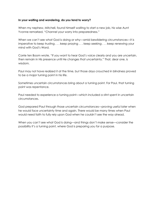#### **In your waiting and wondering, do you tend to worry?**

When my nephew, Mitchell, found himself waiting to start a new job, his wise Aunt Yvonne remarked, "Channel your worry into preparedness."

When we can't see what God is doing or why—amid bewildering circumstances—it is imperative to keep trusting . . . keep praying . . . keep seeking . . . keep renewing your mind with God's Word.

Corrie ten Boom wrote, "If you want to hear God's voice clearly and you are uncertain, then remain in His presence until He changes that uncertainty." That, dear one, is wisdom.

Paul may not have realized it at the time, but those days crouched in blindness proved to be a major turning point in his life.

Sometimes uncertain circumstances bring about a turning point. For Paul, that turning point was repentance.

Paul needed to experience a turning point—which included a stint spent in uncertain circumstances.

God prepared Paul through those uncertain circumstances—proving useful later when he would face uncertainty time and again. There would be many times when Paul would need faith to fully rely upon God when he couldn't see the way ahead.

When you can't see what God is doing—and things don't make sense—consider the possibility it's a turning point, where God is preparing you for a purpose.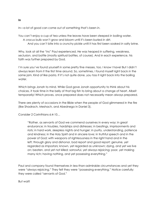In—a lot of good can come out of something that's been *in*.

You can't enjoy a cup of tea unless the leaves have been steeped *in* boiling water. A crocus bulb won't grow and bloom until it's been buried *in* dirt.

And you can't bite into a crunchy pickle until it has first been soaked *in* salty brine.

Why, look at all the "ins" Paul experienced. He was heaped *in* suffering, weakness, seclusion, and battle (mostly spiritual battles, of course). And in each experience, his faith was further prepared by God.

I'm sure you've found yourself *in* some pretty fine messes, too. I know I have! But I didn't always learn from it the first time around. So, sometimes, I found myself right back *in* the same jam. Kind of like pasta. If it's not quite done, you toss it right back into the boiling water.

Which brings Jonah to mind. While God gave Jonah opportunity to think about his choices, it took time in the belly of that big fish to bring about a change of heart. Albeit temporarily! Which proves, once prepared does not necessarily mean always prepared.

There are plenty of occasions in the Bible when the people of God glimmered in the fire (like Shadrach, Meshach, and Abednego in Daniel 3).

Consider 2 Corinthians 6:4-10…

"Rather, as servants of God we commend ourselves in every way: in great endurance; in troubles, hardships and distresses; in beatings, imprisonments and riots; in hard work, sleepless nights and hunger; in purity, understanding, patience and kindness; in the Holy Spirit and in sincere love; in truthful speech and in the power of God; with weapons of righteousness in the right hand and in the left; through glory and dishonor, bad report and good report; genuine, yet regarded as impostors; known, yet regarded as unknown; dying, and yet we live on; beaten, and yet not killed; sorrowful, yet always rejoicing; poor, yet making many rich; having nothing, and yet possessing everything."

Paul and company found themselves *in* less-than-admirable circumstances and yet they were "always rejoicing." They felt they were "possessing everything." Notice carefully: they were called "servants of God."

But wait!

**In**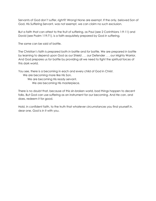Servants of God don't suffer, *right?!* Wrong! None are exempt. If the only, beloved Son of God, His Suffering Servant, was not exempt, we can claim no such exclusion.

But a faith that can attest to the fruit of suffering, as Paul (see 2 Corinthians 1:9-11) and David (see Psalm 119:71), is a faith exquisitely prepared by God *in* suffering.

The same can be said of battle.

The Christian's faith is prepared both *in* battle and *for* battle. We are prepared *in* battle by learning to depend upon God as our Shield . . . our Defender . . . our Mighty Warrior. And God prepares us *for* battle by providing all we need to fight the spiritual forces of this dark world.

You see, there is a becoming in each and every child of God in Christ.

We are becoming more like His Son. We are becoming His ready servant. We are becoming His masterpiece.

There is no doubt that, because of this sin-broken world, bad things happen to decent folks. But God can use suffering as an instrument for our becoming. And He can, and does, redeem it for good.

Hold, in confident faith, to the truth that whatever circumstances you find yourself *in*, dear one, God is *in* it with you.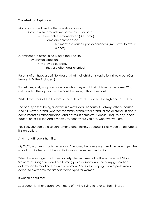## **The Mark of Aspiration**

Many and varied are the life aspirations of man.

Some revolve around love or money . . . or both.

Some are achievement-driven (like, fame).

Some are career-based.

But many are based upon experiences (like, travel to exotic places).

Aspirations are essential to living a focused life. They provide direction. They provide purpose. They are often goal oriented.

Parents often have a definite idea of what their children's aspirations should be. (Our Heavenly Father included.)

Sometimes, early on, parents decide what they want their children to become. What's not found at the top of a mother's list, however, is that of servant.

While it may rank at the bottom of the culture's list, it is, in fact, a high and lofty ideal.

The beauty is that being a servant is always ideal. Because it is always others-focused. And it fits every arena (whether the family arena, work arena, or social arena). It nicely compliments all other ambitions and desires. It's timeless. It doesn't require any special education or skill set. And it meets you right where you are, wherever you are.

You see, you can be a servant among other things, because it is as much an attitude as it is an action.

And that attitude is humility.

My YiaYia was very much the servant. She loved her family well. And the older I get, the more I admire her for all the sacrificial ways she served her family.

When I was younger, I adopted society's feminist mentality. It was the era of Gloria Steinem, Ms Magazine, and bra burning protests. Many women of my generation determined to redefine the roles of women. And so, I set my sights on a professional career to overcome the archaic stereotypes for women.

It was all about me!

Subsequently, I have spent even more of my life trying to reverse that mindset.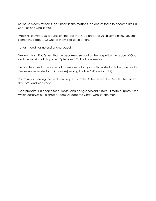Scripture clearly reveals God's heart in the matter. God desires for us to become like His Son—as one who serves.

Week Six of *Prepared* focuses on the fact that God prepares us *for* something. (Several somethings, actually.) One of them is to serve others.

Servanthood has no aspirational equal.

We learn from Paul's pen that he became a servant of the gospel by the grace of God and the working of His power (Ephesians 3:7). It is the same for us.

He also teaches that we are not to serve reluctantly or half-heartedly. Rather, we are to "serve wholeheartedly, as if [we are] serving the Lord" (Ephesians 6:7).

Paul's zeal in serving the Lord was unquestionable. As he served the Gentiles, he served the Lord. And vice versa.

God prepares His people for purpose. And being a servant is life's ultimate purpose. One which deserves our highest esteem. As does the Christ, who set the mark.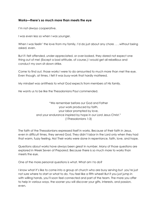## **Works—there's so much more than meets the eye**

I'm not always cooperative.

I was even less so when I was younger.

When I was feelin' the love from my family, I'd do just about any chore . . . without being asked, even.

But if I felt offended, under-appreciated, or over-looked, they dared not expect one thing out of me! (Except a bad attitude, of course.) I would get all rebellious and conduct my own sit-down strike.

Come to find out, those works I were to do amounted to much more than met the eye. Even though, at times, I felt it was busy-work that hardly mattered.

My mindset was antithesis to what God expects from members of His family.

He wants us to be like the Thessalonians Paul commended.

"We remember before our God and Father your work produced by faith, your labor prompted by love, and your endurance inspired by hope in our Lord Jesus Christ." (1Thessalonians 1:3)

The faith of the Thessalonians expressed itself in works. Because of their faith in Jesus, even in difficult times, they served God. They didn't labor in the Lord only when they had that warm, fuzzy feeling. No! Their works were done in repentance, faith, love, and hope.

Questions about works have always been great in number. Many of those questions are explored in Week Seven of *Prepared*. Because there is so much more to works than meets the eye.

One of the more personal questions is *what*. What am I to do?

I know what it's like to come into a group at church who are busy serving but you're just not sure where to start or what to do. You feel like a fifth wheel! But if you just jump in with willing hands, you'll soon feel connected and part of the team. The more you offer to help in various ways, the sooner you will discover your gifts, interests, and passion, even.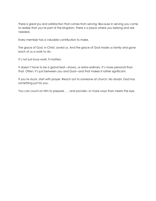There is great joy and satisfaction that comes from serving. Because in serving you come to realize that you're part of the kingdom. There is a place where you belong and are needed.

Every member has a valuable contribution to make.

The grace of God, in Christ, saved us. And the grace of God made us family and gave each of us a work to do.

It's not just busy-work. It matters.

It doesn't have to be a grand feat—showy, or extra-ordinary. It's more personal than that. Often, it's just between you and God—and that makes it rather significant.

If you're stuck, start with prayer. Reach out to someone at church. No doubt, God has something just for you.

You can count on Him to prepare . . . and provide—in more ways than meets the eye.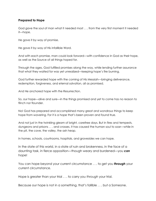## **Prepared to Hope**

God gave the soul of man what it needed most . . . from the very first moment it needed it—hope.

He gave it by way of promise.

He gave it by way of His infallible Word.

And with each promise, man could look forward—with confidence in God as their hope, as well as the Source of all things hoped for.

Through the ages, God fulfilled promises along the way, while lending further assurance that what they waited for was yet unrealized—keeping hope's fire burning.

God further rewarded hope with the coming of His Messiah—bringing deliverance, redemption, forgiveness, and eternal salvation, all as promised.

And He anchored hope with the Resurrection.

So, our hope—alive and sure—in the things promised and yet to come has no reason to flinch nor flounder.

No! God has prepared and accomplished many great and wondrous things to keep hope from wavering. For it is a hope that's been proven and found true.

And not just in the twinkling gleam of bright, carefree days. But in fires and tempests, dungeons and prisons . . . and crosses. It has caused the human soul to soar—while in the pit, the cave, the valley, the ash heap.

In homes, schools, courtrooms, hospitals, and gravesides we can hope.

In the state of this world, in a state of ruin and brokenness, in the face of a daunting task, in fierce opposition—though weary and burdened—you *can* hope!

You can hope beyond your current circumstance . . . to get you *through* your current circumstance.

Hope is greater than your trial . . . to carry you *through* your trial.

Because our hope is not in a something, that's fallible . . . but a Someone.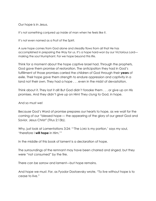Our hope is in Jesus.

It's not something conjured up inside of man when he feels like it.

It's not even named as a Fruit of the Spirit.

A sure hope comes from God alone and steadily flows from all that He has accomplished in preparing the Way for us. It's a hope hard-won by our Victorious Lord making the soul triumphant. For we hope beyond this life.

Think for a moment about the hope captive Israel had. Through the prophets, God gave them promise of restoration. The anticipation they had in God's fulfillment of those promises carried the children of God through their **years** of exile. Their hope gave them strength to endure oppression and captivity in a land not their own. They had a hope . . . even in the midst of devastation.

Think about it. They lost it all! But God didn't forsake them . . . or give up on His promises. And they didn't give up on Him! They clung to God, in hope.

And so must we!

Because God's Word of promise prepares our hearts to hope, as we wait for the coming of our "blessed hope — the appearing of the glory of our great God and Savior, Jesus Christ" (Titus 2:13b).

Why, just look at Lamentations 3:24: "'The LORD is my portion,' says my soul, 'therefore I **will hope** in Him.'"

In the middle of this book of lament is a declaration of hope.

The surroundings of the remnant may have been charred and singed, but they were "not consumed" by the fire.

There can be sorrow and lament—but hope remains.

And hope we must. For, as Fyodor Dostoevsky wrote, "To live without hope is to cease to live."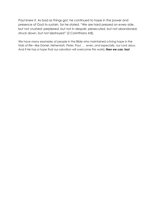Paul knew it. As bad as things got, he continued to hope in the power and presence of God to sustain, for he stated, "We are hard pressed on every side, but not crushed; perplexed, but not in despair; persecuted, but not abandoned; struck down, but not destroyed" (2 Corinthians 4:8).

We have many examples of people in the Bible who maintained a living hope in the trials of life—like Daniel, Nehemiah, Peter, Paul . . . even, *and especially*, our Lord Jesus. And if He has a hope that our salvation will overcome this world, *then we can, too!*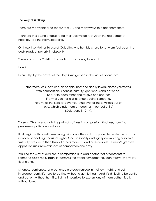#### **The Way of Walking**

There are many places to set our feet . . . and many ways to place them there.

There are those who choose to set their bejeweled feet upon the red carpet of notoriety, like the Hollywood elite.

Or those, like Mother Teresa of Calcutta, who humbly chose to set worn feet upon the dusty roads of poverty in obscurity.

There is a path a Christian is to walk . . . and a way to walk it.

How?

In humility, by the power of the Holy Spirit, garbed in the virtues of our Lord.

"Therefore, as God's chosen people, holy and dearly loved, clothe yourselves with compassion, kindness, humility, gentleness and patience. Bear with each other and forgive one another if any of you has a grievance against someone. Forgive as the Lord forgave you. And over all these virtues put on love, which binds them all together in perfect unity" (Colossians 3:12-14).

Those in Christ are to walk the path of holiness in compassion, kindness, humility, gentleness, patience, and love.

It all begins with humility—in recognizing our utter and complete dependence upon an infinitely perfect, righteous, almighty God. In soberly and rightly considering ourselves truthfully, we are to then think of others more . . . and ourselves less. Humility's greatest opposition rises from attitudes of comparison and envy.

Walking the way of our Lord in compassion is to add another set of footprints to someone else's rocky path. It reassures the trepid navigator they don't travel the valley floor alone.

Kindness, gentleness, and patience are each unique in their own right, and yet interdependent. It's hard to be kind without a gentle heart. And it's difficult to be gentle and patient without humility. But it's impossible to express any of them authentically without love.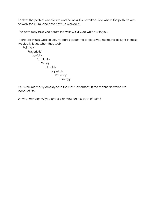Look at the path of obedience and holiness Jesus walked. See where the path He was to walk took Him. And note how He walked it.

The path may take you across the valley, **but** God will be with you.

There are things God values. He cares about the choices you make. He delights in those He dearly loves when they walk

**Faithfully Prayerfully** Joyfully **Thankfully** Wisely Humbly Hopefully **Patiently** Lovingly

Our walk (as mostly employed in the New Testament) is the manner in which we conduct life.

*In what manner will you choose to walk, on this path of faith?*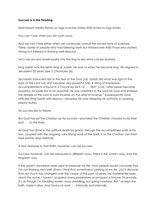#### **Success is in the Finishing**

Mainstream media thrives on rags-to-riches stories AND riches-to-rags stories.

You can't lose when you win both ways.

And we can't lose either when we continually consult the sacred texts of Scripture. There, stories of people who had faltering starts but finished well AND those who started strong but faltered in finishing well abound.

Let's toss ancient Israeli royalty into the ring to see what can be learned ...

King Uzziah was the tenth king of Judah. He was 16 when he became king. He reigned in Jerusalem 52 years (see 2 Chronicles 26).

Zechariah instructed him in the fear of the God (v5). Uzziah did what was right in the eyes of the Lord (v4) and became very powerful (v8). A string of impressive accomplishments is found in 2 Chronicles 26:9-15 . . . "BUT" (v16) "after Uzziah became powerful, his pride led to his downfall. He was unfaithful to the Lord his God and entered the temple of the Lord to burn incense on the altar of incense." Subsequently, God afflicted King Uzziah with leprosy—discipline for over-stepping his authority in usurping priestly duties.

His success led to failure.

But God has set the Christian up for success—provided the Christian chooses to do their part . . . *to the finish.*

All God has done in the spiritual realm by grace, through the accomplished work of His Son, coupled with the ongoing, sanctifying work of the Spirit, is so the Christian can finish their earthly days faithfully.

A real obstacle to that finish, however, can be success.

Success, however, can be measured in different ways. There is the world's way. And the kingdom way.

If the world's standards were used to measure my life, most people would conclude that I'm not finishing very well. *(Even I think that sometimes!)* Looking at my life, you'll discover that not much has changed over the course of the past 10 years. My material life looks much the same. I haven't acquired many possessions or amassed a fortune. Financially, it's as though I'm treading water—busy paddling, but going nowhere. But I've kept the faith. Hope is alive. And God is at work . . . *internally and eternally.*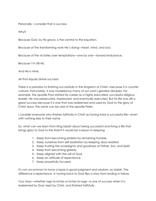Personally, I consider that a success.

Why?

Because God, by His grace, is the central to the equation.

Because of the transforming work He's doing—heart, mind, and soul.

Because of the victories over temptations—one by one—toward endurance.

Because I'm still His.

And He is mine.

All that equals divine success!

There is a paradox to finishing successfully in the kingdom of Christ—because it is counter cultural. Fortunately, it was modeled by many of our Lord's greatest disciples. For example, the apostle Paul started his career as a highly educated, successful religious leader. He was persecuted, imprisoned, and eventually executed. But his life was still a great success because it is one that was redeemed and used by God to the glory of Christ Jesus. The same can be said of the apostle Peter.

I consider everyone who finishes faithfully in Christ as having lived a successful life—even with nothing else to their name.

So, what can we learn from King Uzziah about being successful and living a life that brings glory to God to the finish? It would be a lesson in keeping.

- 1. Keep from becoming prideful by remaining humble.
- 2. Keep ourselves from self-exaltation by keeping Jesus exalted.
- 3. Keep trusting the sovereignty and goodness of Father, Son, and Spirit.
- 4. Keep from becoming greedy.
- 5. Keep aligned with the will of God.
- 6. Keep an attitude of repentance.
- 7. Keep prayerfully focused.

It's not uncommon to have a lapse in good judgment and wisdom, as Uzziah. The difference is repentance. A turning back to God flips a story from ending in failure.

Your story—whether rags-to-riches or riches-to-rags—is one of success when it is redeemed by God, kept by Christ, and finished faithfully.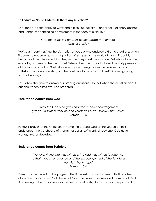#### **To Endure or Not To Endure—Is There Any Question?**

Endurance, it's the ability to withstand difficulties. Baker's Evangelical Dictionary defines endurance as "continuing commitment in the face of difficulty."

## *"God measures our progress by our capacity to endure." Charles Stanley*

We've all heard inspiring, heroic stories of people who endured extreme situations. When it comes to endurance, my imagination often goes to the world of sports. Probably because of the intense training they must undergo just to compete. But what about the everyday burdens of the mundane? Where does the capacity to endure daily pressures of this world come from? What source of inner strength does the believer have to withstand, not only hardship, but the continual force of our culture? Or even grueling times of waiting?

Let's allow the Bible to answer our probing questions—so that when the question about our endurance arises, we'll be prepared . . .

## **Endurance comes from God**

*"May the God who gives endurance and encouragement give you a spirit of unity among yourselves as you follow Christ Jesus"* (Romans 15:5).

In Paul's prayer for the Christians in Rome, he praised God as the Source of their endurance. The storehouse of strength of our all-sufficient, all-powerful God never wanes, tires, or depletes.

## **Endurance comes from Scripture**

*"For everything that was written in the past was written to teach us, so that through endurance and the encouragement of the Scriptures we might have hope"* (Romans 15:4).

Every word recorded on the pages of the Bible instructs and informs faith. It teaches about the character of God, the will of God, the plans, purposes, and promises of God. And seeing all He has done in faithfulness, in relationship to His creation, helps us to trust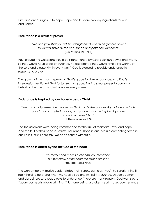Him, and encourages us to hope. Hope and trust are two key ingredients for our endurance.

## **Endurance is a result of prayer**

*"We also pray that you will be strengthened with all his glorious power so you will have all the endurance and patience you need"* (Colossians 1:11 NLT).

Paul prayed the Colossians would be strengthened by God's glorious power and might, so they would have great endurance. He also prayed they would "live a life worthy of the Lord and please Him in every way." God is pleased to provide endurance in response to prayer.

The growth of the church speaks to God's grace for their endurance. And Paul's intercession petitioned God for just such a grace. This is a great prayer to borrow on behalf of the church and missionaries everywhere.

## **Endurance is inspired by our hope in Jesus Christ**

*"We continually remember before our God and Father your work produced by faith, your labor prompted by love, and your endurance inspired by hope in our Lord Jesus Christ"* (1 Thessalonians 1:3).

The Thessalonians were being commended for the fruit of their faith, love, and hope. And the fruit of their hope in Jesus? Endurance! Hope in our Lord is a compelling force in our life in Christ. I dare say, we can't flourish without it.

## **Endurance is aided by the attitude of the heart**

*"A merry heart makes a cheerful countenance, But by sorrow of the heart the spirit is broken*" (Proverbs 15:13 NKJV).

The Contemporary English Version states that "sorrow can crush you". Personally, I find it really hard to be strong when my heart is sad and my spirit is crushed. Discouragement and despair are sure roadblocks to endurance. There are many reasons God warns us to "guard our hearts above all things." Just one being: a broken heart makes countenance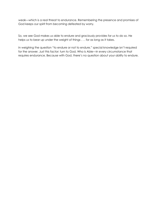weak—which is a real threat to endurance. Remembering the presence and promises of God keeps our spirit from becoming defeated by worry.

So, we see God makes us able to endure and graciously provides for us to do so. He helps us to bear up under the weight of things . . . for as long as it takes.

In weighing the question "to endure or not to endure," special knowledge isn't required for the answer. Just this factor: turn to God, Who is Able—in every circumstance that requires endurance. Because with God, there's no question about your ability to endure.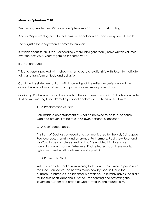## **More on Ephesians 2:10**

Yes, I know, I wrote over 200 pages on Ephesians 2:10 . . . and I'm still writing.

Add 72 *Prepared* blog posts to that, plus Facebook content, and it may seem like a lot.

There's just a lot to say when it comes to this verse!

But think about it: Multitudes (exceedingly more intelligent than I) have written volumes over the past 2,000 years regarding this same verse!

It's that profound!

This one verse is packed with riches—riches to build a relationship with Jesus, to motivate faith, and transform attitude and behavior.

Combine this statement of truth with knowledge of the writer's experience, and the context in which it was written, and it packs an even more powerful punch.

Obviously, Paul was writing to the church of the doctrines of our faith. But I also conclude that he was making three dramatic personal declarations with this verse. It was:

1. A Proclamation of Faith

Paul made a bold statement of what he believed to be true, because God had proven it to be true in his own, personal experience.

2. A Confidence-Booster

This truth of God, as conveyed and communicated by the Holy Spirit, gave Paul courage, strength, and assurance. Furthermore, Paul knew Jesus and His Word to be completely trustworthy. This enabled him to endure harrowing circumstances. Whenever Paul reflected upon these words, I rightly imagine he felt confidence well up within.

3. A Praise unto God

With such a statement of unwavering faith, Paul's words were a praise unto the God. Paul confessed he was made new by God, in Christ, for purpose—a purpose God planned in advance. He humbly gave God glory for the fruit of his labor and suffering—recognizing and professing the sovereign wisdom and grace of God at work in and through him.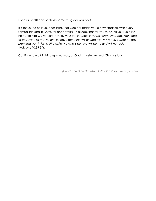Ephesians 2:10 can be those same things for you, too!

It is for you to believe, dear saint, that God has made you a new creation, with every spiritual blessing in Christ, for good works He already has for you to do, as you live a life holy unto Him. *Do not throw away your confidence; it will be richly rewarded. You need to persevere so that when you have done the will of God, you will receive what He has promised. For, in just a little while, He who is coming will come and will not delay* (Hebrews 10:35-37).

Continue to walk in His prepared way, as God's masterpiece of Christ's glory.

*(Conclusion of articles which follow the study's weekly lessons)*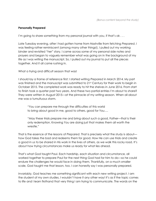#### **Personally Prepared**

I'm going to share something from my personal journal with you, if that's ok...

Late Tuesday evening, after I had gotten home from Nashville from fetching *Prepared*, I was feeling rather reminiscent (among many other things!). I pulled out my working binder and revisited "her" story. I came across some of my personal side notes and prayers and began to vaguely remember what was going on in the background of my life as I was writing the manuscript. So, I pulled out my journal to put all the pieces together. And it all came rushing in.

What a trying and difficult season that was!

I should lay a frame of reference first: I started writing *Prepared* in March 2014. My part was finished and the manuscript was submitted to 21st Century for their work to begin in October 2015. The completed work was ready to hit the shelves in June 2016. From start to finish took a quarter past two years. And these two partial entries I'm about to share? They were written in August 2015—at the pinnacle of my writing season. When all about me was a tumultuous storm.

"You can prepare me through the difficulties of this world to bring about good in me, good to others, good for You….

"May these trials prepare me and bring about such a good, Father—that is their only redemption. Knowing You are doing just that makes them all worth the wrestle."

That is the essence of the lessons of *Prepared*. That is precisely what the study is about how God takes the bad and redeems them for good. How He can use trials and create a good in us to be shared in His work in the lives of others, as we walk this rocky road. It's about how trying circumstances make us ready for what lies ahead.

That's what God taught Paul. Each hardship, each situation and circumstance, all worked together to prepare Paul for the next thing God had for him to do—so he could endure the challenges he would face in doing them. Thankfully, on a much smaller scale, God taught me that lesson, too. I can honestly say I was personally prepared.

Invariably, God teaches me something significant with each new writing project. I am the student of my own studies. I wouldn't have it any other way! It's as if the topic comes to life and I learn firsthand that very thing I am trying to communicate. The words on the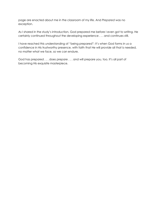page are enacted about me in the classroom of my life. And *Prepared* was no exception.

As I shared in the study's introduction, God prepared me before I even got to writing. He certainly continued throughout the developing experience . . . and continues still.

I have reached this understanding of "being prepared": It's when God forms in us a confidence in His trustworthy presence, with faith that He will provide all that is needed, no matter what we face, so we can endure.

God has prepared . . . does prepare . . . and will prepare you, too. It's all part of becoming His exquisite masterpiece.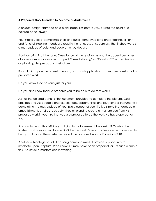#### **A Prepared Work Intended to Become a Masterpiece**

A unique design, stamped on a blank page, lies before you. It is but the point of a colored pencil away.

Your stroke varies—sometimes short and quick, sometimes long and lingering, or light and fanciful. Fleeting moods are read in the tones used. Regardless, the finished work is a masterpiece of color and beauty—all by design.

Adult coloring is all the rage. One glance at the retail racks and the appeal becomes obvious, as most covers are stamped "Stress Relieving" or "Relaxing." The creative and captivating designs add to their allure.

But as I think upon the recent phenom, a spiritual application comes to mind—that of a prepared work.

Do you know God has one just for you?

Do you also know that He prepares you to be able to do that work?

Just as the colored pencil is the instrument provided to complete the picture, God provides and uses people and experiences, opportunities and situations as instruments in completing the masterpiece of you. Every aspect of your life is a stroke that adds color, embellishment, artistry . . . beauty. They all blend to create a masterpiece from His prepared work in you—so that you are prepared to do the work He has prepared for you.

At a loss for what that is? Are you trying to make sense of the design? Or what the finished work is supposed to look like? The 12-week Bible study *Prepared* was created to help you discover the masterpiece and the prepared work of Ephesians 2:10.

Another advantage to adult coloring comes to mind. It provides opportunity to meditate upon Scripture. Who knows? It may have been prepared for just such a time as this—to unveil a masterpiece in waiting.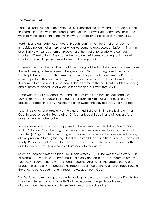#### **The Good in Hard**

Yeah, so I had this raging bout with the flu. It knocked me down and out for days. It was this hard thing. I know, in the grand scheme of things, it was just a common illness. And it was really the least of the hard I've known. But it presented difficulties, nonetheless.

Hard hits and can catch us off guard, though, can't it? For the Christian under the misguided notion that all hard ends when we come to know Jesus as Savior—thinking in error that He will save us from all trouble—are the most unfortunate who can get knocked off feet of faith. They can either land on their knees and cling to Him or get knocked down altogether, never to rise on His wings again.

If there's one thing the Lord has taught me through all the hard, it's the sacredness of it the real blessing of it—because of the great good God can bring from it. Because hardship? It knocks us into the arms of God. And dependent upon Him? That's the ultimate posture. That's where the greatest good comes in like a flood. To invite Him into the hard, is to be held in His embrace. It doesn't remove the hard, but it adds a meaning and purpose to it because of what He teaches about Himself through it.

Those who expect only good times and blessings from God miss the real good that comes from God. Because it's the hard times spent **in Him** that stretches us, grows us, presses us deeper into Him. It makes the bitter sweet, the ugly beautiful, the hard good.

Take King David, for example. He knew hard. And it drove him into the loving arms of God, to experience Him like no other. Difficulties brought depth and dimension. And poverty gleaned riches untold.

Now consider King Solomon, as opposed to the experience of his father, David. God said of Solomon, "No other king in all the world will be compared to you for the rest of your life" (1 Kings 3:13 NLT). He had great wisdom and riches and was esteemed by kings of every nation. "Nothing lacking," the Bible says; all Judah and Israel lived in peace and safety. *Peace and safety.* Isn't that the desire a certain worldview produces in us? They didn't serve him well. They were as a hardship unto themselves.

Solomon "denied himself no pleasure" (Ecclesiastes 2:10). His life was the endless pursuit of pleasure . . . meaning. He lived the life of plenty and ease—and yet seemed empty . . . bored. He seemed like a man lost and struggling. And he lost the great blessing of a kingdom graced by God because he repeatedly sinned pursuing a hollow happiness. In the end, he concluded that all is meaningless apart from God.

Yet David was a man acquainted with hardship and want. In those times of difficulty, he knew heightened communion with God. He became stronger through every circumstance where he found himself most weak and vulnerable.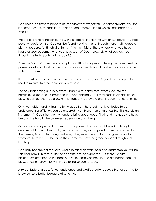God uses such times to prepare us (the subject of *Prepared*). He either prepares you for it or prepares you through it. "It" being "hard." (Something to which I can personally attest.)

We are all prone to hardship. The world is filled to overflowing with illness, abuse, injustice, poverty, addiction. But God can be found working in and through these—with grace a plenty. Because, for His child of faith, it is in the midst of these where what you have heard of God becomes what you have seen of God—precisely what Job learned through the testing of his faith (Job 42:5).

Even the Son of God was not exempt from difficulty or great suffering. He never used His power or authority to eliminate hardship or improve His hard lot in life. He came to suffer with us . . . *for us*.

It is Jesus who takes the hard and turns it to a seed for good. A good that is hopefully used to minister to other companions of hard.

The only redeeming quality of what's bad is a response that invites God into the hardship. Of knowing His presence in it. And abiding with Him through it. An additional blessing comes when we allow Him to transform us toward and through that hard thing.

Only He is able—and willing—to bring good from hard. Let that knowledge forge endurance. For affliction can be endured when there is an awareness that it is merely an instrument in God's trustworthy hands to bring about good. That, and the hope we have beyond the hard in the promised redemption of all things.

Our very encouragement comes from the powerful testimony of the saints through centuries of tragedy, loss, and great affliction. They strongly and assuredly attested to the blessing God births through suffering. They even went so far as to give thanks for whatever befell them—because they came to know the grace of God through such hardships.

God may not prevent the hard. And a relationship with Jesus is no guarantee you will be shielded from it. In fact, quite the opposite is to be expected. But there is a sure blessedness promised to the poor in spirit, to those who mourn, and are persecuted—a blessedness of fellowship with the Suffering Servant of God.

A sweet taste of grace, for our endurance and God's greater good, is that of coming to know our Lord better because of suffering.